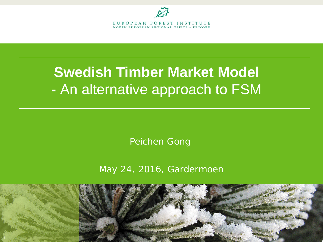

# **Swedish Timber Market Model -** An alternative approach to FSM

Peichen Gong

May 24, 2016, Gardermoen

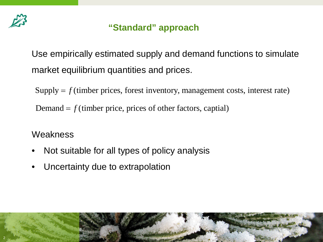

# **"Standard" approach**

Use empirically estimated supply and demand functions to simulate market equilibrium quantities and prices.

 $Supply = f$  (timber prices, forest inventory, management costs, interest rate)

Demand  $= f$  (timber price, prices of other factors, captial)

**Weakness** 

- Not suitable for all types of policy analysis
- Uncertainty due to extrapolation

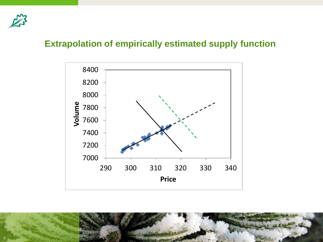

# **Extrapolation of empirically estimated supply function**



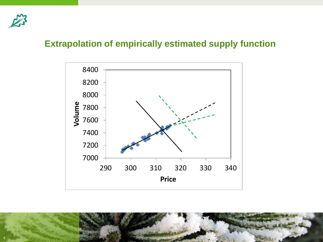

# **Extrapolation of empirically estimated supply function**



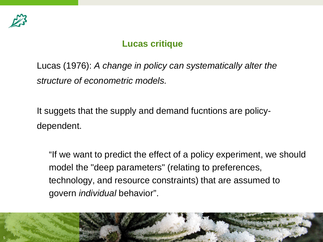

# **Lucas critique**

Lucas (1976): *A change in policy can systematically alter the structure of econometric models.*

It suggets that the supply and demand fucntions are policydependent.

"If we want to predict the effect of a policy experiment, we should model the "deep parameters" (relating to preferences, technology, and resource constraints) that are assumed to govern *individual* behavior".

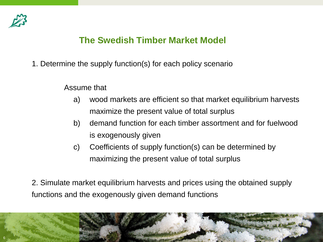

# **The Swedish Timber Market Model**

1. Determine the supply function(s) for each policy scenario

Assume that

- a) wood markets are efficient so that market equilibrium harvests maximize the present value of total surplus
- b) demand function for each timber assortment and for fuelwood is exogenously given
- c) Coefficients of supply function(s) can be determined by maximizing the present value of total surplus

2. Simulate market equilibrium harvests and prices using the obtained supply functions and the exogenously given demand functions

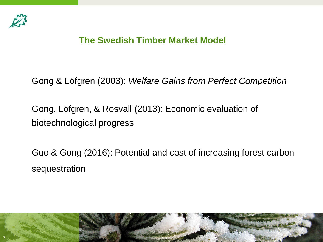

# **The Swedish Timber Market Model**

Gong & Löfgren (2003): *Welfare Gains from Perfect Competition* 

Gong, Löfgren, & Rosvall (2013): Economic evaluation of biotechnological progress

Guo & Gong (2016): Potential and cost of increasing forest carbon sequestration

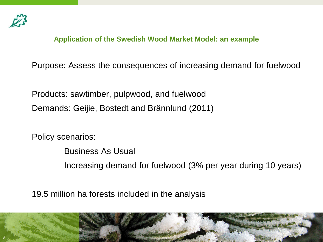

**Application of the Swedish Wood Market Model: an example**

Purpose: Assess the consequences of increasing demand for fuelwood

Products: sawtimber, pulpwood, and fuelwood Demands: Geijie, Bostedt and Brännlund (2011)

Policy scenarios:

Business As Usual Increasing demand for fuelwood (3% per year during 10 years)

19.5 million ha forests included in the analysis

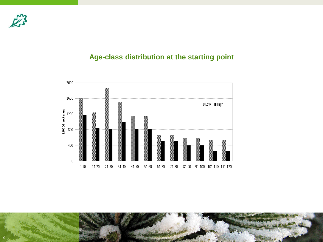

## **Age-class distribution at the starting point**



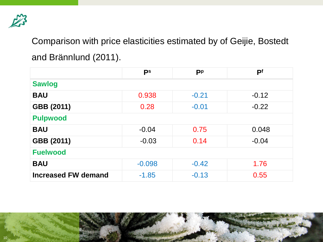

Comparison with price elasticities estimated by of Geijie, Bostedt and Brännlund (2011).

|                            | ps       | <b>Pp</b> | P <sup>f</sup> |  |
|----------------------------|----------|-----------|----------------|--|
| <b>Sawlog</b>              |          |           |                |  |
| <b>BAU</b>                 | 0.938    | $-0.21$   | $-0.12$        |  |
| GBB (2011)                 | 0.28     | $-0.01$   | $-0.22$        |  |
| <b>Pulpwood</b>            |          |           |                |  |
| <b>BAU</b>                 | $-0.04$  | 0.75      | 0.048          |  |
| GBB (2011)                 | $-0.03$  | 0.14      | $-0.04$        |  |
| <b>Fuelwood</b>            |          |           |                |  |
| <b>BAU</b>                 | $-0.098$ | $-0.42$   | 1.76           |  |
| <b>Increased FW demand</b> | $-1.85$  | $-0.13$   | 0.55           |  |

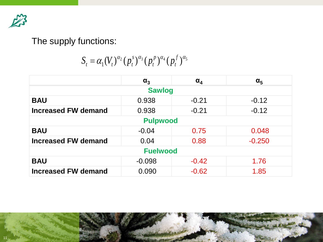

# The supply functions:

 $S_t = \alpha_1 (V_t)^{\alpha_2} (p_t^s)^{\alpha_3} (p_t^p)^{\alpha_4} (p_t^f)^{\alpha_5}$ 

|                            | $\alpha_3$ | $\alpha_{\rm A}$ | $\alpha_{5}$ |  |
|----------------------------|------------|------------------|--------------|--|
| <b>Sawlog</b>              |            |                  |              |  |
| <b>BAU</b>                 | 0.938      | $-0.21$          | $-0.12$      |  |
| <b>Increased FW demand</b> | 0.938      | $-0.21$          | $-0.12$      |  |
| <b>Pulpwood</b>            |            |                  |              |  |
| <b>BAU</b>                 | $-0.04$    | 0.75             | 0.048        |  |
| <b>Increased FW demand</b> | 0.04       | 0.88             | $-0.250$     |  |
| <b>Fuelwood</b>            |            |                  |              |  |
| <b>BAU</b>                 | $-0.098$   | $-0.42$          | 1.76         |  |
| <b>Increased FW demand</b> | 0.090      | $-0.62$          | 1.85         |  |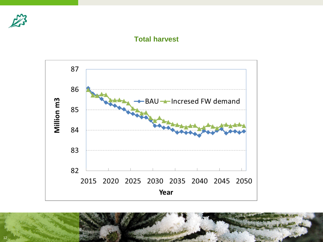

### **Total harvest**



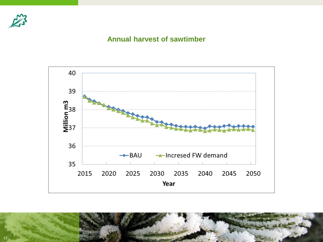

## **Annual harvest of sawtimber**



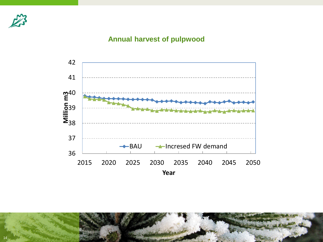

## **Annual harvest of pulpwood**



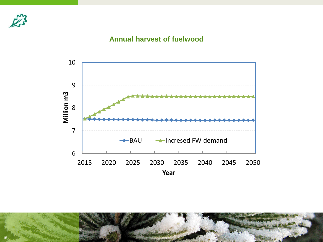

## **Annual harvest of fuelwood**